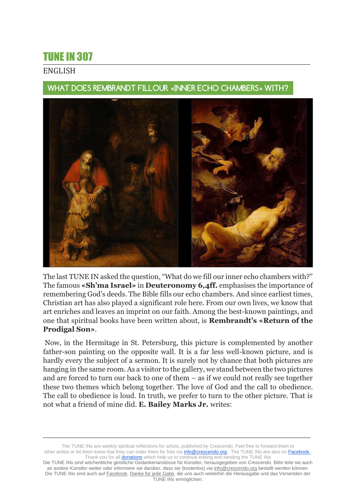## TUNE IN 307

## ENGLISH

WHAT DOES REMBRANDT FILLOUR «INNER ECHO CHAMBERS» WITH?



The last TUNE IN asked the question, "What do we fill our inner echo chambers with?" The famous **«Sh'ma Israel»** in **Deuteronomy 6,4ff.** emphasises the importance of remembering God's deeds. The Bible fills our echo chambers. And since earliest times, Christian art has also played a significant role here. From our own lives, we know that art enriches and leaves an imprint on our faith. Among the best-known paintings, and one that spiritual books have been written about, is **Rembrandt's «Return of the Prodigal Son»**.

Now, in the Hermitage in St. Petersburg, this picture is complemented by another father-son painting on the opposite wall. It is a far less well-known picture, and is hardly every the subject of a sermon. It is surely not by chance that both pictures are hanging in the same room. As a visitor to the gallery, we stand between the two pictures and are forced to turn our back to one of them – as if we could not really see together these two themes which belong together. The love of God and the call to obedience. The call to obedience is loud. In truth, we prefer to turn to the other picture. That is not what a friend of mine did. **E. Bailey Marks Jr.** writes:

The TUNE INs are weekly spiritual reflections for artists, published by Crescendo. Feel free to forward them to other artists or let them know that they can order them for free via **info@crescendo.org** . The TUNE INs are also on Facebook Thank you for all **donations** which help us to continue editing and sending the TUNE INs

Die TUNE INs sind wöchentliche geistliche Gedankenanstösse für Künstler, herausgegeben von Crescendo. Bitte leite sie auch an andere Künstler weiter oder informiere sie darüber, dass sie (kostenlos) via [info@crescendo.org](mailto:info@crescendo.org) bestellt werden können. Die TUNE INs sind auch auf [Facebook.](https://www.facebook.com/TUNEINs/) [Danke für jede Gabe,](https://www.crescendo.org/de/kontakt--spenden.html) die uns auch weiterhin die Herausgabe und das Versenden der TUNE INs ermöglichen.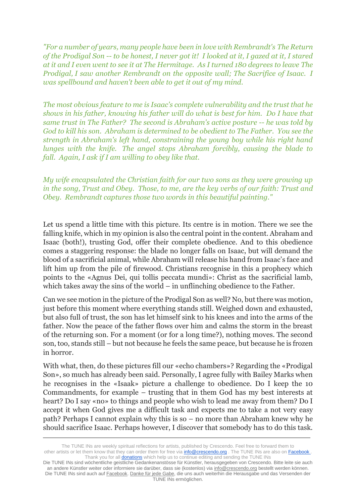*"For a number of years, many people have been in love with Rembrandt's The Return of the Prodigal Son -- to be honest, I never got it! I looked at it, I gazed at it, I stared at it and I even went to see it at The Hermitage. As I turned 180 degrees to leave The Prodigal, I saw another Rembrandt on the opposite wall; The Sacrifice of Isaac. I was spellbound and haven't been able to get it out of my mind.*

*The most obvious feature to me is Isaac's complete vulnerability and the trust that he shows in his father, knowing his father will do what is best for him. Do I have that same trust in The Father? The second is Abraham's active posture -- he was told by God to kill his son. Abraham is determined to be obedient to The Father. You see the strength in Abraham's left hand, constraining the young boy while his right hand lunges with the knife. The angel stops Abraham forcibly, causing the blade to fall. Again, I ask if I am willing to obey like that.*

*My wife encapsulated the Christian faith for our two sons as they were growing up in the song, Trust and Obey. Those, to me, are the key verbs of our faith: Trust and Obey. Rembrandt captures those two words in this beautiful painting."*

Let us spend a little time with this picture. Its centre is in motion. There we see the falling knife, which in my opinion is also the central point in the content. Abraham and Isaac (both!), trusting God, offer their complete obedience. And to this obedience comes a staggering response: the blade no longer falls on Isaac, but will demand the blood of a sacrificial animal, while Abraham will release his hand from Isaac's face and lift him up from the pile of firewood. Christians recognise in this a prophecy which points to the «Agnus Dei, qui tollis peccata mundi»: Christ as the sacrificial lamb, which takes away the sins of the world – in unflinching obedience to the Father.

Can we see motion in the picture of the Prodigal Son as well? No, but there was motion, just before this moment where everything stands still. Weighed down and exhausted, but also full of trust, the son has let himself sink to his knees and into the arms of the father. Now the peace of the father flows over him and calms the storm in the breast of the returning son. For a moment (or for a long time?), nothing moves. The second son, too, stands still – but not because he feels the same peace, but because he is frozen in horror.

With what, then, do these pictures fill our «echo chambers»? Regarding the «Prodigal Son», so much has already been said. Personally, I agree fully with Bailey Marks when he recognises in the «Isaak» picture a challenge to obedience. Do I keep the 10 Commandments, for example – trusting that in them God has my best interests at heart? Do I say «no» to things and people who wish to lead me away from them? Do I accept it when God gives me a difficult task and expects me to take a not very easy path? Perhaps I cannot explain why this is so – no more than Abraham knew why he should sacrifice Isaac. Perhaps however, I discover that somebody has to do this task.

The TUNE INs are weekly spiritual reflections for artists, published by Crescendo. Feel free to forward them to other artists or let them know that they can order them for free via **info@crescendo.org** . The TUNE INs are also on Facebook . Thank you for all **donations** which help us to continue editing and sending the TUNE INs

Die TUNE INs sind wöchentliche geistliche Gedankenanstösse für Künstler, herausgegeben von Crescendo. Bitte leite sie auch an andere Künstler weiter oder informiere sie darüber, dass sie (kostenlos) via [info@crescendo.org](mailto:info@crescendo.org) bestellt werden können. Die TUNE INs sind auch auf [Facebook.](https://www.facebook.com/TUNEINs/) [Danke für jede Gabe,](https://www.crescendo.org/de/kontakt--spenden.html) die uns auch weiterhin die Herausgabe und das Versenden der TUNE INs ermöglichen.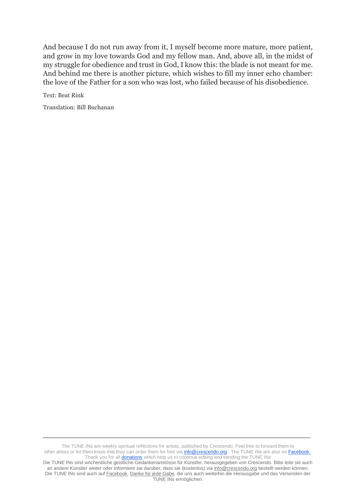And because I do not run away from it, I myself become more mature, more patient, and grow in my love towards God and my fellow man. And, above all, in the midst of my struggle for obedience and trust in God, I know this: the blade is not meant for me. And behind me there is another picture, which wishes to fill my inner echo chamber: the love of the Father for a son who was lost, who failed because of his disobedience.

Text: Beat Rink

Translation: Bill Buchanan

The TUNE INs are weekly spiritual reflections for artists, published by Crescendo. Feel free to forward them to other artists or let them know that they can order them for free via **info@crescendo.org** . The TUNE INs are also on Facebook . Thank you for all **donations** which help us to continue editing and sending the TUNE INs

Die TUNE INs sind wöchentliche geistliche Gedankenanstösse für Künstler, herausgegeben von Crescendo. Bitte leite sie auch an andere Künstler weiter oder informiere sie darüber, dass sie (kostenlos) via [info@crescendo.org](mailto:info@crescendo.org) bestellt werden können. Die TUNE INs sind auch auf [Facebook.](https://www.facebook.com/TUNEINs/) [Danke für jede Gabe,](https://www.crescendo.org/de/kontakt--spenden.html) die uns auch weiterhin die Herausgabe und das Versenden der TUNE INs ermöglichen.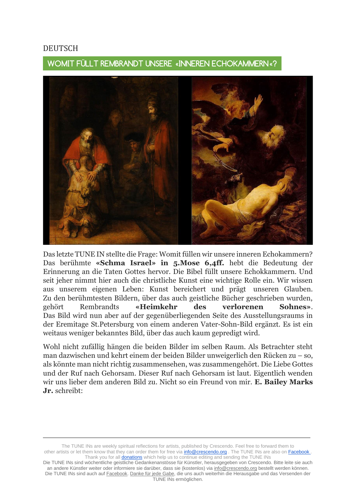## DEUTSCH

WOMIT FÜLLT REMBRANDT UNSERE «INNEREN ECHOKAMMERN«?



Das letzte TUNE IN stellte die Frage: Womit füllen wir unsere inneren Echokammern? Das berühmte **«Schma Israel» in 5.Mose 6,4ff.** hebt die Bedeutung der Erinnerung an die Taten Gottes hervor. Die Bibel füllt unsere Echokkammern. Und seit jeher nimmt hier auch die christliche Kunst eine wichtige Rolle ein. Wir wissen aus unserem eigenen Leben: Kunst bereichert und prägt unseren Glauben. Zu den berühmtesten Bildern, über das auch geistliche Bücher geschrieben wurden, gehört Rembrandts **«Heimkehr des verlorenen Sohnes»**. Das Bild wird nun aber auf der gegenüberliegenden Seite des Ausstellungsraums in der Eremitage St.Petersburg von einem anderen Vater-Sohn-Bild ergänzt. Es ist ein weitaus weniger bekanntes Bild, über das auch kaum gepredigt wird.

Wohl nicht zufällig hängen die beiden Bilder im selben Raum. Als Betrachter steht man dazwischen und kehrt einem der beiden Bilder unweigerlich den Rücken zu – so, als könnte man nicht richtig zusammensehen, was zusammengehört. Die Liebe Gottes und der Ruf nach Gehorsam. Dieser Ruf nach Gehorsam ist laut. Eigentlich wenden wir uns lieber dem anderen Bild zu. Nicht so ein Freund von mir. **E. Bailey Marks Jr.** schreibt:

The TUNE INs are weekly spiritual reflections for artists, published by Crescendo. Feel free to forward them to other artists or let them know that they can order them for free via **info@crescendo.org** . The TUNE INs are also on Facebook Thank you for all **donations** which help us to continue editing and sending the TUNE INs

Die TUNE INs sind wöchentliche geistliche Gedankenanstösse für Künstler, herausgegeben von Crescendo. Bitte leite sie auch an andere Künstler weiter oder informiere sie darüber, dass sie (kostenlos) via [info@crescendo.org](mailto:info@crescendo.org) bestellt werden können. Die TUNE INs sind auch auf [Facebook.](https://www.facebook.com/TUNEINs/) [Danke für jede Gabe,](https://www.crescendo.org/de/kontakt--spenden.html) die uns auch weiterhin die Herausgabe und das Versenden der TUNE INs ermöglichen.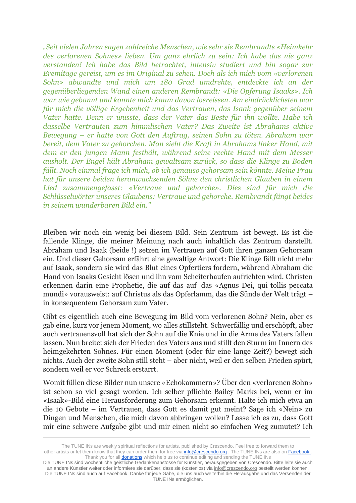*"Seit vielen Jahren sagen zahlreiche Menschen, wie sehr sie Rembrandts «Heimkehr des verlorenen Sohnes» lieben. Um ganz ehrlich zu sein: Ich habe das nie ganz verstanden! Ich habe das Bild betrachtet, intensiv studiert und bin sogar zur Eremitage gereist, um es im Original zu sehen. Doch als ich mich vom «verlorenen Sohn» abwandte und mich um 180 Grad umdrehte, entdeckte ich an der gegenüberliegenden Wand einen anderen Rembrandt: «Die Opferung Isaaks». Ich war wie gebannt und konnte mich kaum davon losreissen. Am eindrücklichsten war für mich die völlige Ergebenheit und das Vertrauen, das Isaak gegenüber seinem Vater hatte. Denn er wusste, dass der Vater das Beste für ihn wollte. Habe ich dasselbe Vertrauten zum himmlischen Vater? Das Zweite ist Abrahams aktive Bewegung – er hatte von Gott den Auftrag, seinen Sohn zu töten. Abraham war bereit, dem Vater zu gehorchen. Man sieht die Kraft in Abrahams linker Hand, mit dem er den jungen Mann festhält, während seine rechte Hand mit dem Messer ausholt. Der Engel hält Abraham gewaltsam zurück, so dass die Klinge zu Boden fällt. Noch einmal frage ich mich, ob ich genauso gehorsam sein könnte. Meine Frau hat für unsere beiden heranwachsenden Söhne den christlichen Glauben in einem Lied zusammengefasst: «Vertraue und gehorche». Dies sind für mich die Schlüsselwörter unseres Glaubens: Vertraue und gehorche. Rembrandt fängt beides in seinem wunderbaren Bild ein."*

Bleiben wir noch ein wenig bei diesem Bild. Sein Zentrum ist bewegt. Es ist die fallende Klinge, die meiner Meinung nach auch inhaltlich das Zentrum darstellt. Abraham und Isaak (beide !) setzen im Vertrauen auf Gott ihren ganzen Gehorsam ein. Und dieser Gehorsam erfährt eine gewaltige Antwort: Die Klinge fällt nicht mehr auf Isaak, sondern sie wird das Blut eines Opfertiers fordern, während Abraham die Hand von Isaaks Gesicht lösen und ihn vom Scheiterhaufen aufrichten wird. Christen erkennen darin eine Prophetie, die auf das auf das «Agnus Dei, qui tollis peccata mundi» vorausweist: auf Christus als das Opferlamm, das die Sünde der Welt trägt – in konsequentem Gehorsam zum Vater.

Gibt es eigentlich auch eine Bewegung im Bild vom verlorenen Sohn? Nein, aber es gab eine, kurz vor jenem Moment, wo alles stillsteht. Schwerfällig und erschöpft, aber auch vertrauensvoll hat sich der Sohn auf die Knie und in die Arme des Vaters fallen lassen. Nun breitet sich der Frieden des Vaters aus und stillt den Sturm im Innern des heimgekehrten Sohnes. Für einen Moment (oder für eine lange Zeit?) bewegt sich nichts. Auch der zweite Sohn still steht – aber nicht, weil er den selben Frieden spürt, sondern weil er vor Schreck erstarrt.

Womit füllen diese Bilder nun unsere «Echokammern»? Über den «verlorenen Sohn» ist schon so viel gesagt worden. Ich selber pflichte Bailey Marks bei, wenn er im «Isaak»-Bild eine Herausforderung zum Gehorsam erkennt. Halte ich mich etwa an die 10 Gebote – im Vertrauen, dass Gott es damit gut meint? Sage ich «Nein» zu Dingen und Menschen, die mich davon abbringen wollen? Lasse ich es zu, dass Gott mir eine schwere Aufgabe gibt und mir einen nicht so einfachen Weg zumutet? Ich

The TUNE INs are weekly spiritual reflections for artists, published by Crescendo. Feel free to forward them to other artists or let them know that they can order them for free via **info@crescendo.org** . The TUNE INs are also on Facebook . Thank you for all **donations** which help us to continue editing and sending the TUNE INs

Die TUNE INs sind wöchentliche geistliche Gedankenanstösse für Künstler, herausgegeben von Crescendo. Bitte leite sie auch an andere Künstler weiter oder informiere sie darüber, dass sie (kostenlos) via [info@crescendo.org](mailto:info@crescendo.org) bestellt werden können. Die TUNE INs sind auch auf [Facebook.](https://www.facebook.com/TUNEINs/) [Danke für jede Gabe,](https://www.crescendo.org/de/kontakt--spenden.html) die uns auch weiterhin die Herausgabe und das Versenden der TUNE INs ermöglichen.